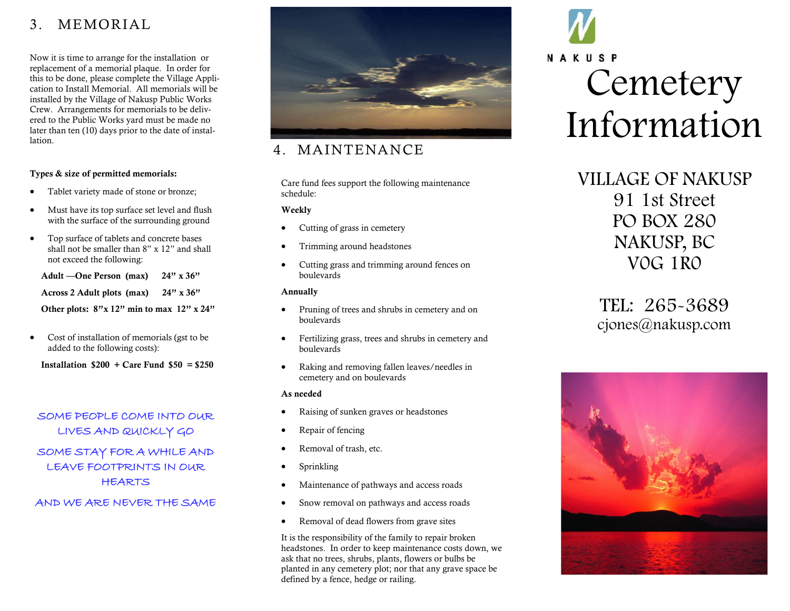# 3. MEMORIAL

Now it is time to arrange for the installation or replacement of a memorial plaque. In order for this to be done, please complete the Village Application to Install Memorial. All memorials will be installed by the Village of Nakusp Public Works Crew. Arrangements for memorials to be delivered to the Public Works yard must be made no later than ten (10) days prior to the date of installation.

## Types & size of permitted memorials:

- Tablet variety made of stone or bronze;
- Must have its top surface set level and flush with the surface of the surrounding ground
- Top surface of tablets and concrete bases shall not be smaller than 8" x 12" and shall not exceed the following:

 Adult —One Person (max) 24" x 36" Across 2 Adult plots (max) 24" x 36"

Other plots:  $8''$ x 12" min to max 12" x 24"

• Cost of installation of memorials (gst to be added to the following costs):

Installation  $$200 + Care$  Fund  $$50 = $250$ 

SOME PEOPLE COME INTO OUR LIVES AND QUICKLY GO SOME STAY FOR A WHILE AND LEAVE FOOTPRINTS IN OUR HEARTS

## AND WE ARE NEVER THE SAME



# 4. MAINTENANCE

Care fund fees support the following maintenance schedule:

## Weekly

- Cutting of grass in cemetery
- Trimming around headstones
- Cutting grass and trimming around fences on boulevards

## Annually

- Pruning of trees and shrubs in cemetery and on boulevards
- Fertilizing grass, trees and shrubs in cemetery and boulevards
- Raking and removing fallen leaves/needles in cemetery and on boulevards

#### As needed

- Raising of sunken graves or headstones
- Repair of fencing
- Removal of trash, etc.
- Sprinkling
- Maintenance of pathways and access roads
- Snow removal on pathways and access roads
- Removal of dead flowers from grave sites

It is the responsibility of the family to repair broken headstones. In order to keep maintenance costs down, we ask that no trees, shrubs, plants, flowers or bulbs be planted in any cemetery plot; nor that any grave space be defined by a fence, hedge or railing.

# NAKUSP **Cemetery** Information

# VILLAGE OF NAKUSP 91 1st Street PO BOX 280 NAKUSP, BC V0G 1R0

TEL: 265-3689 cjones@nakusp.com